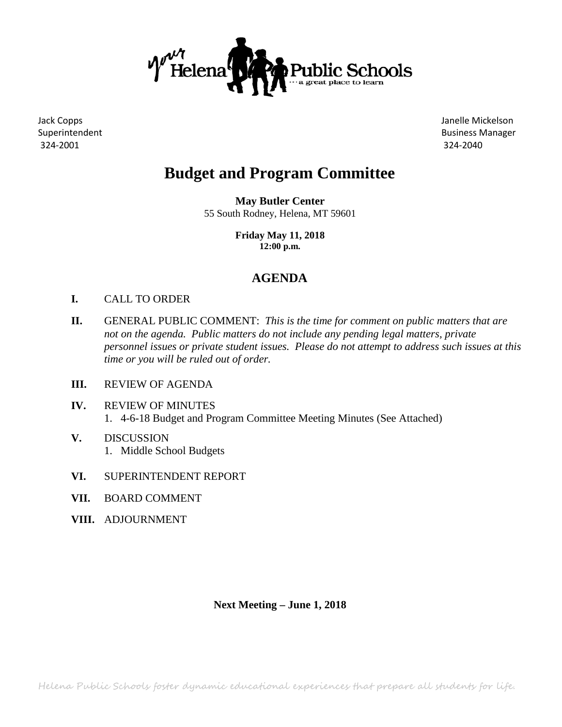

324-2001 324-2040

Jack Copps Janelle Mickelson Superintendent **Business Manager** Business Manager

# **Budget and Program Committee**

**May Butler Center** 55 South Rodney, Helena, MT 59601

> **Friday May 11, 2018 12:00 p.m.**

### **AGENDA**

- **I.** CALL TO ORDER
- **II.** GENERAL PUBLIC COMMENT: *This is the time for comment on public matters that are not on the agenda. Public matters do not include any pending legal matters, private personnel issues or private student issues. Please do not attempt to address such issues at this time or you will be ruled out of order.*
- **III.** REVIEW OF AGENDA
- **IV.** REVIEW OF MINUTES 1. 4-6-18 Budget and Program Committee Meeting Minutes (See Attached)
- **V.** DISCUSSION 1. Middle School Budgets
- **VI.** SUPERINTENDENT REPORT
- **VII.** BOARD COMMENT
- **VIII.** ADJOURNMENT

**Next Meeting – June 1, 2018**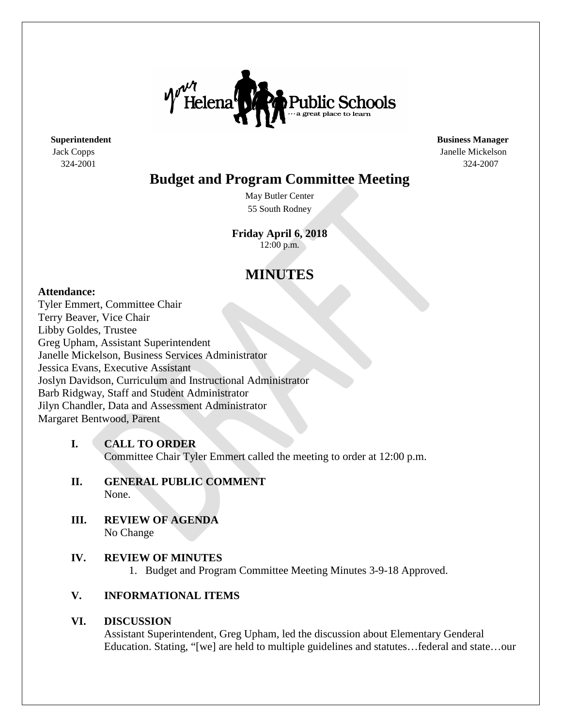

**Superintendent Business Manager** Jack Copps Janelle Mickelson 324-2001 324-2007

## **Budget and Program Committee Meeting**

May Butler Center 55 South Rodney

**Friday April 6, 2018** 12:00 p.m.

# **MINUTES**

### **Attendance:**

Tyler Emmert, Committee Chair Terry Beaver, Vice Chair Libby Goldes, Trustee Greg Upham, Assistant Superintendent Janelle Mickelson, Business Services Administrator Jessica Evans, Executive Assistant Joslyn Davidson, Curriculum and Instructional Administrator Barb Ridgway, Staff and Student Administrator Jilyn Chandler, Data and Assessment Administrator Margaret Bentwood, Parent

### **I. CALL TO ORDER**

Committee Chair Tyler Emmert called the meeting to order at 12:00 p.m.

- **II. GENERAL PUBLIC COMMENT** None.
- **III. REVIEW OF AGENDA** No Change

### **IV. REVIEW OF MINUTES**

1. Budget and Program Committee Meeting Minutes 3-9-18 Approved.

### **V. INFORMATIONAL ITEMS**

### **VI. DISCUSSION**

Assistant Superintendent, Greg Upham, led the discussion about Elementary Genderal Education. Stating, "[we] are held to multiple guidelines and statutes…federal and state…our